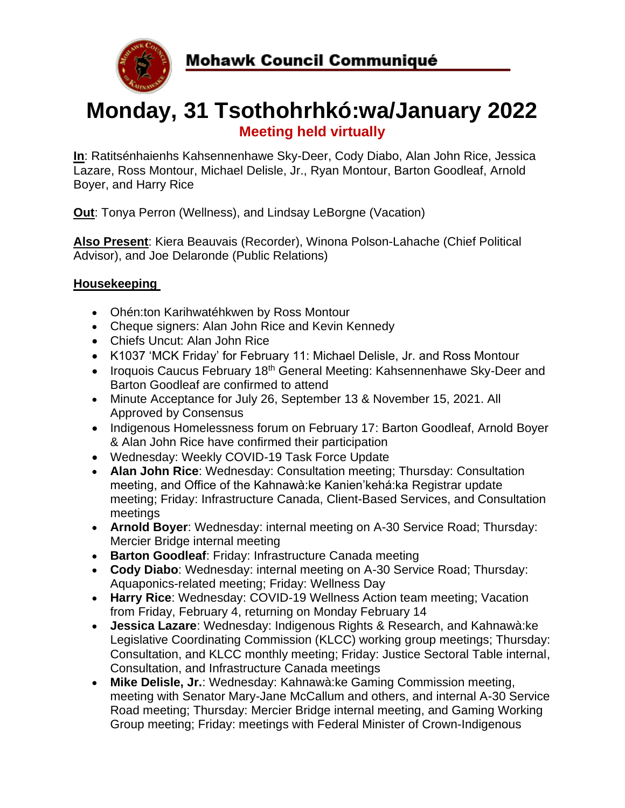

# **Monday, 31 Tsothohrhkó:wa/January 2022 Meeting held virtually**

**In**: Ratitsénhaienhs Kahsennenhawe Sky-Deer, Cody Diabo, Alan John Rice, Jessica Lazare, Ross Montour, Michael Delisle, Jr., Ryan Montour, Barton Goodleaf, Arnold Boyer, and Harry Rice

**Out**: Tonya Perron (Wellness), and Lindsay LeBorgne (Vacation)

**Also Present**: Kiera Beauvais (Recorder), Winona Polson-Lahache (Chief Political Advisor), and Joe Delaronde (Public Relations)

## **Housekeeping**

- Ohén:ton Karihwatéhkwen by Ross Montour
- Cheque signers: Alan John Rice and Kevin Kennedy
- Chiefs Uncut: Alan John Rice
- K1037 'MCK Friday' for February 11: Michael Delisle, Jr. and Ross Montour
- Iroquois Caucus February 18<sup>th</sup> General Meeting: Kahsennenhawe Sky-Deer and Barton Goodleaf are confirmed to attend
- Minute Acceptance for July 26, September 13 & November 15, 2021. All Approved by Consensus
- Indigenous Homelessness forum on February 17: Barton Goodleaf, Arnold Boyer & Alan John Rice have confirmed their participation
- Wednesday: Weekly COVID-19 Task Force Update
- **Alan John Rice**: Wednesday: Consultation meeting; Thursday: Consultation meeting, and Office of the Kahnawà:ke Kanien'kehá:ka Registrar update meeting; Friday: Infrastructure Canada, Client-Based Services, and Consultation meetings
- **Arnold Boyer**: Wednesday: internal meeting on A-30 Service Road; Thursday: Mercier Bridge internal meeting
- **Barton Goodleaf**: Friday: Infrastructure Canada meeting
- **Cody Diabo**: Wednesday: internal meeting on A-30 Service Road; Thursday: Aquaponics-related meeting; Friday: Wellness Day
- **Harry Rice**: Wednesday: COVID-19 Wellness Action team meeting; Vacation from Friday, February 4, returning on Monday February 14
- **Jessica Lazare**: Wednesday: Indigenous Rights & Research, and Kahnawà:ke Legislative Coordinating Commission (KLCC) working group meetings; Thursday: Consultation, and KLCC monthly meeting; Friday: Justice Sectoral Table internal, Consultation, and Infrastructure Canada meetings
- **Mike Delisle, Jr.**: Wednesday: Kahnawà:ke Gaming Commission meeting, meeting with Senator Mary-Jane McCallum and others, and internal A-30 Service Road meeting; Thursday: Mercier Bridge internal meeting, and Gaming Working Group meeting; Friday: meetings with Federal Minister of Crown-Indigenous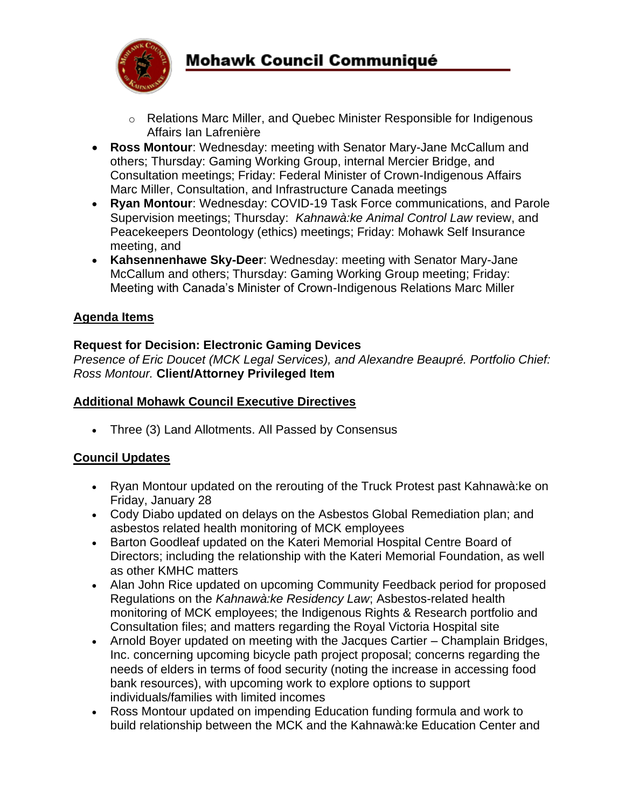

- o Relations Marc Miller, and Quebec Minister Responsible for Indigenous Affairs Ian Lafrenière
- **Ross Montour**: Wednesday: meeting with Senator Mary-Jane McCallum and others; Thursday: Gaming Working Group, internal Mercier Bridge, and Consultation meetings; Friday: Federal Minister of Crown-Indigenous Affairs Marc Miller, Consultation, and Infrastructure Canada meetings
- **Ryan Montour**: Wednesday: COVID-19 Task Force communications, and Parole Supervision meetings; Thursday: *Kahnawà:ke Animal Control Law* review, and Peacekeepers Deontology (ethics) meetings; Friday: Mohawk Self Insurance meeting, and
- **Kahsennenhawe Sky-Deer**: Wednesday: meeting with Senator Mary-Jane McCallum and others; Thursday: Gaming Working Group meeting; Friday: Meeting with Canada's Minister of Crown-Indigenous Relations Marc Miller

## **Agenda Items**

### **Request for Decision: Electronic Gaming Devices**

*Presence of Eric Doucet (MCK Legal Services), and Alexandre Beaupré. Portfolio Chief: Ross Montour.* **Client/Attorney Privileged Item**

### **Additional Mohawk Council Executive Directives**

• Three (3) Land Allotments. All Passed by Consensus

#### **Council Updates**

- Ryan Montour updated on the rerouting of the Truck Protest past Kahnawà:ke on Friday, January 28
- Cody Diabo updated on delays on the Asbestos Global Remediation plan; and asbestos related health monitoring of MCK employees
- Barton Goodleaf updated on the Kateri Memorial Hospital Centre Board of Directors; including the relationship with the Kateri Memorial Foundation, as well as other KMHC matters
- Alan John Rice updated on upcoming Community Feedback period for proposed Regulations on the *Kahnawà:ke Residency Law*; Asbestos-related health monitoring of MCK employees; the Indigenous Rights & Research portfolio and Consultation files; and matters regarding the Royal Victoria Hospital site
- Arnold Boyer updated on meeting with the Jacques Cartier Champlain Bridges, Inc. concerning upcoming bicycle path project proposal; concerns regarding the needs of elders in terms of food security (noting the increase in accessing food bank resources), with upcoming work to explore options to support individuals/families with limited incomes
- Ross Montour updated on impending Education funding formula and work to build relationship between the MCK and the Kahnawà:ke Education Center and